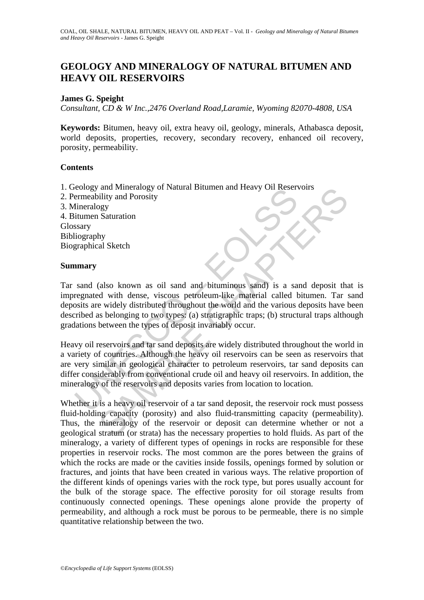# **GEOLOGY AND MINERALOGY OF NATURAL BITUMEN AND HEAVY OIL RESERVOIRS**

## **James G. Speight**

*Consultant, CD & W Inc.,2476 Overland Road,Laramie, Wyoming 82070-4808, USA* 

**Keywords:** Bitumen, heavy oil, extra heavy oil, geology, minerals, Athabasca deposit, world deposits, properties, recovery, secondary recovery, enhanced oil recovery, porosity, permeability.

## **Contents**

- 1. Geology and Mineralogy of Natural Bitumen and Heavy Oil Reservoirs
- 2. Permeability and Porosity
- 3. Mineralogy

4. Bitumen Saturation Glossary Bibliography Biographical Sketch

### **Summary**

Example the realistive and provided the reservoirs and the reservations of the remembility and Porosity interactions of the dimension of the dimension of the dimension of the dimension of the dimension of the dimension of and Mineralogy of Natural Bitumen and Heavy OII Keservors<br>
and Mineralogy of Natural Bitumen and Heavy OII Keservors<br>
Sey<br>
Saturation<br>
My<br>
al Sketch<br>
widis and Porosity<br>
divaribled through the world and the various deposit Tar sand (also known as oil sand and bituminous sand) is a sand deposit that is impregnated with dense, viscous petroleum-like material called bitumen. Tar sand deposits are widely distributed throughout the world and the various deposits have been described as belonging to two types: (a) stratigraphic traps; (b) structural traps although gradations between the types of deposit invariably occur.

Heavy oil reservoirs and tar sand deposits are widely distributed throughout the world in a variety of countries. Although the heavy oil reservoirs can be seen as reservoirs that are very similar in geological character to petroleum reservoirs, tar sand deposits can differ considerably from conventional crude oil and heavy oil reservoirs. In addition, the mineralogy of the reservoirs and deposits varies from location to location.

Whether it is a heavy oil reservoir of a tar sand deposit, the reservoir rock must possess fluid-holding capacity (porosity) and also fluid-transmitting capacity (permeability). Thus, the mineralogy of the reservoir or deposit can determine whether or not a geological stratum (or strata) has the necessary properties to hold fluids. As part of the mineralogy, a variety of different types of openings in rocks are responsible for these properties in reservoir rocks. The most common are the pores between the grains of which the rocks are made or the cavities inside fossils, openings formed by solution or fractures, and joints that have been created in various ways. The relative proportion of the different kinds of openings varies with the rock type, but pores usually account for the bulk of the storage space. The effective porosity for oil storage results from continuously connected openings. These openings alone provide the property of permeability, and although a rock must be porous to be permeable, there is no simple quantitative relationship between the two.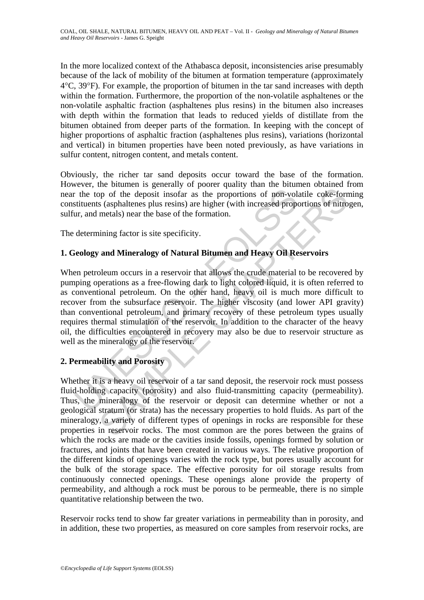In the more localized context of the Athabasca deposit, inconsistencies arise presumably because of the lack of mobility of the bitumen at formation temperature (approximately 4°C, 39°F). For example, the proportion of bitumen in the tar sand increases with depth within the formation. Furthermore, the proportion of the non-volatile asphaltenes or the non-volatile asphaltic fraction (asphaltenes plus resins) in the bitumen also increases with depth within the formation that leads to reduced vields of distillate from the bitumen obtained from deeper parts of the formation. In keeping with the concept of higher proportions of asphaltic fraction (asphaltenes plus resins), variations (horizontal and vertical) in bitumen properties have been noted previously, as have variations in sulfur content, nitrogen content, and metals content.

Obviously, the richer tar sand deposits occur toward the base of the formation. However, the bitumen is generally of poorer quality than the bitumen obtained from near the top of the deposit insofar as the proportions of non-volatile coke-forming constituents (asphaltenes plus resins) are higher (with increased proportions of nitrogen, sulfur, and metals) near the base of the formation.

The determining factor is site specificity.

# **1. Geology and Mineralogy of Natural Bitumen and Heavy Oil Reservoirs**

The top of the deposit insofar as the proportions of non-volutionts (asphaltenes plus resins) are higher (with increased proportions (asphaltenes plus resins) are higher (with increased proportion, determining factor is si metallines are expected to the exercy of the reservoir and the original increased proportions of non-volatile coke-form (staphaltenes plus resins) are higher (with increased proportions of nitro metals) near the base of th When petroleum occurs in a reservoir that allows the crude material to be recovered by pumping operations as a free-flowing dark to light colored liquid, it is often referred to as conventional petroleum. On the other hand, heavy oil is much more difficult to recover from the subsurface reservoir. The higher viscosity (and lower API gravity) than conventional petroleum, and primary recovery of these petroleum types usually requires thermal stimulation of the reservoir. In addition to the character of the heavy oil, the difficulties encountered in recovery may also be due to reservoir structure as well as the mineralogy of the reservoir.

# **2. Permeability and Porosity**

Whether it is a heavy oil reservoir of a tar sand deposit, the reservoir rock must possess fluid-holding capacity (porosity) and also fluid-transmitting capacity (permeability). Thus, the mineralogy of the reservoir or deposit can determine whether or not a geological stratum (or strata) has the necessary properties to hold fluids. As part of the mineralogy, a variety of different types of openings in rocks are responsible for these properties in reservoir rocks. The most common are the pores between the grains of which the rocks are made or the cavities inside fossils, openings formed by solution or fractures, and joints that have been created in various ways. The relative proportion of the different kinds of openings varies with the rock type, but pores usually account for the bulk of the storage space. The effective porosity for oil storage results from continuously connected openings. These openings alone provide the property of permeability, and although a rock must be porous to be permeable, there is no simple quantitative relationship between the two.

Reservoir rocks tend to show far greater variations in permeability than in porosity, and in addition, these two properties, as measured on core samples from reservoir rocks, are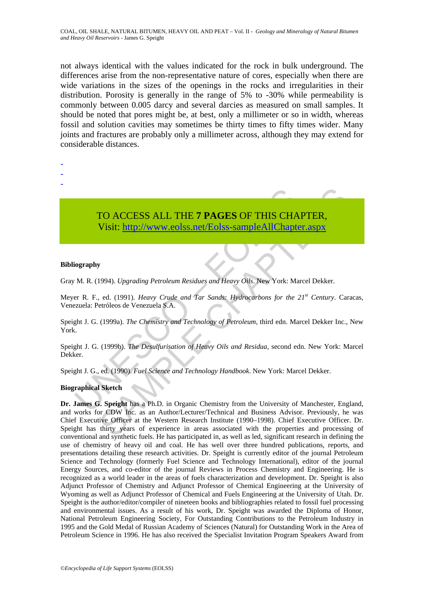not always identical with the values indicated for the rock in bulk underground. The differences arise from the non-representative nature of cores, especially when there are wide variations in the sizes of the openings in the rocks and irregularities in their distribution. Porosity is generally in the range of 5% to -30% while permeability is commonly between 0.005 darcy and several darcies as measured on small samples. It should be noted that pores might be, at best, only a millimeter or so in width, whereas fossil and solution cavities may sometimes be thirty times to fifty times wider. Many joints and fractures are probably only a millimeter across, although they may extend for considerable distances.

- -
- -
- -

# TO ACCESS ALL THE 7 PAGES OF THIS CHA<br>
Visit: http://www.eolss.net/Eolss-sampleAllChapte<br>
iography<br>
M. R. (1994). Upgrading Petroleum Residues and Heavy Oils. New York: Ma<br>
rer R. F., ed. (1991). Heavy Crude and Tar Sands: TO ACCESS ALL THE **7 PAGES** OF THIS CHAPTER, Visit: http://www.eolss.net/Eolss-sampleAllChapter.aspx

#### **Bibliography**

Gray M. R. (1994). *Upgrading Petroleum Residues and Heavy Oils*. New York: Marcel Dekker.

Meyer R. F., ed. (1991). *Heavy Crude and Tar Sands: Hydrocarbons for the 21st Century*. Caracas, Venezuela: Petróleos de Venezuela S.A.

Speight J. G. (1999a). *The Chemistry and Technology of Petroleum*, third edn. Marcel Dekker Inc., New York.

Speight J. G. (1999b). *The Desulfurisation of Heavy Oils and Residua*, second edn. New York: Marcel Dekker.

Speight J. G., ed. (1990). *Fuel Science and Technology Handbook*. New York: Marcel Dekker.

#### **Biographical Sketch**

TO ACCESS ALL THE 7 PAGES OF THIS CHAPT[ER](https://www.eolss.net/ebooklib/sc_cart.aspx?File=E3-04-05-03),<br>
Visit:  $\frac{http://www.eolssnnet/Eolsss-sampleAllChapter.18px}{http://www.eolssnnet/Eolsss-sampleAllChapter.18px}$ <br>
y<br>
y<br>
y<br>
y<br>
y<br>
y<br>
y<br>
y<br>
y<br>
(1999). *Heavy Crude and Tar Sands: Hydrocarbons for the 21<sup>st</sup> Century. Cartricleos de Venezuel* **Dr. James G. Speight** has a Ph.D. in Organic Chemistry from the University of Manchester, England, and works for CDW Inc. as an Author/Lecturer/Technical and Business Advisor. Previously, he was Chief Executive Officer at the Western Research Institute (1990–1998). Chief Executive Officer. Dr. Speight has thirty years of experience in areas associated with the properties and processing of conventional and synthetic fuels. He has participated in, as well as led, significant research in defining the use of chemistry of heavy oil and coal. He has well over three hundred publications, reports, and presentations detailing these research activities. Dr. Speight is currently editor of the journal Petroleum Science and Technology (formerly Fuel Science and Technology International), editor of the journal Energy Sources, and co-editor of the journal Reviews in Process Chemistry and Engineering. He is recognized as a world leader in the areas of fuels characterization and development. Dr. Speight is also Adjunct Professor of Chemistry and Adjunct Professor of Chemical Engineering at the University of Wyoming as well as Adjunct Professor of Chemical and Fuels Engineering at the University of Utah. Dr. Speight is the author/editor/compiler of nineteen books and bibliographies related to fossil fuel processing and environmental issues. As a result of his work, Dr. Speight was awarded the Diploma of Honor, National Petroleum Engineering Society, For Outstanding Contributions to the Petroleum Industry in 1995 and the Gold Medal of Russian Academy of Sciences (Natural) for Outstanding Work in the Area of Petroleum Science in 1996. He has also received the Specialist Invitation Program Speakers Award from